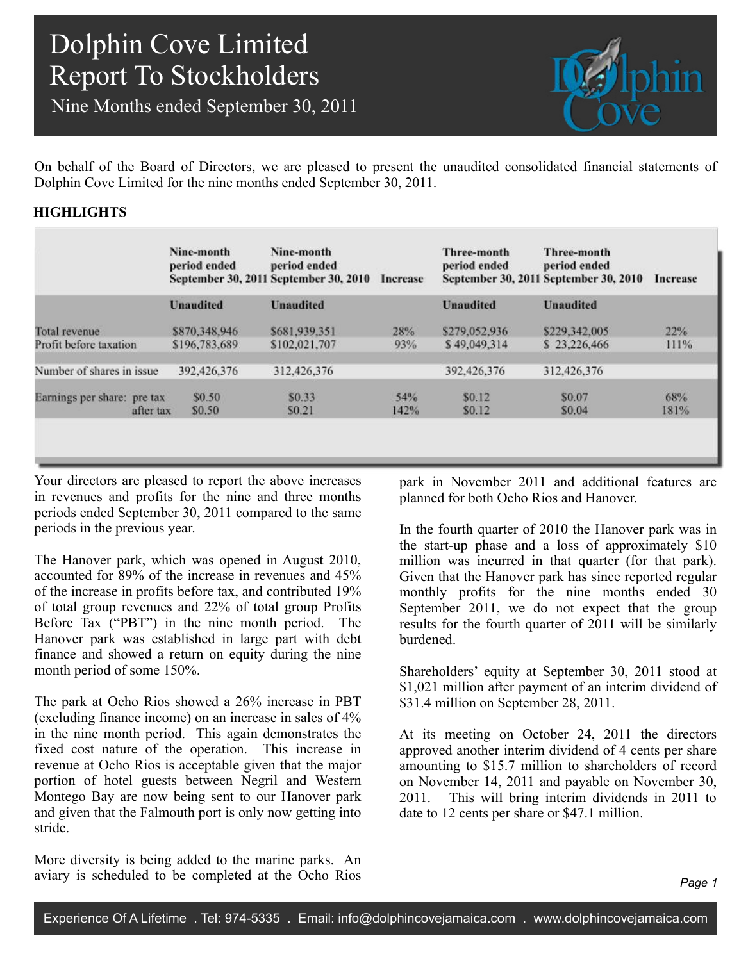Nine Months ended September 30, 2011



On behalf of the Board of Directors, we are pleased to present the unaudited consolidated financial statements of Dolphin Cove Limited for the nine months ended September 30, 2011.

### **HIGHLIGHTS**

|                             |           | Nine-month<br>period ended | Nine-month<br>period ended<br>September 30, 2011 September 30, 2010 | Increase    | <b>Three-month</b><br>period ended | Three-month<br>period ended<br>September 30, 2011 September 30, 2010 | Increase    |
|-----------------------------|-----------|----------------------------|---------------------------------------------------------------------|-------------|------------------------------------|----------------------------------------------------------------------|-------------|
|                             |           | <b>Unaudited</b>           | <b>Unaudited</b>                                                    |             | <b>Unaudited</b>                   | <b>Unaudited</b>                                                     |             |
| Total revenue               |           | \$870,348,946              | \$681,939,351                                                       | 28%         | \$279,052,936                      | \$229,342,005                                                        | 22%         |
| Profit before taxation      |           | \$196,783,689              | \$102,021,707                                                       | 93%         | \$49,049,314                       | \$23,226,466                                                         | 111%        |
| Number of shares in issue   |           | 392,426,376                | 312,426,376                                                         |             | 392,426,376                        | 312,426,376                                                          |             |
| Earnings per share: pre tax | after tax | \$0.50<br>\$0.50           | \$0.33<br>\$0.21                                                    | 54%<br>142% | \$0.12<br>\$0.12                   | \$0.07<br>\$0.04                                                     | 68%<br>181% |
|                             |           |                            |                                                                     |             |                                    |                                                                      |             |
|                             |           |                            |                                                                     |             |                                    |                                                                      |             |

Your directors are pleased to report the above increases in revenues and profits for the nine and three months periods ended September 30, 2011 compared to the same periods in the previous year.

The Hanover park, which was opened in August 2010, accounted for 89% of the increase in revenues and 45% of the increase in profits before tax, and contributed 19% of total group revenues and 22% of total group Profits Before Tax ("PBT") in the nine month period. The Hanover park was established in large part with debt finance and showed a return on equity during the nine month period of some 150%.

The park at Ocho Rios showed a 26% increase in PBT (excluding finance income) on an increase in sales of 4% in the nine month period. This again demonstrates the fixed cost nature of the operation. This increase in revenue at Ocho Rios is acceptable given that the major portion of hotel guests between Negril and Western Montego Bay are now being sent to our Hanover park and given that the Falmouth port is only now getting into stride.

More diversity is being added to the marine parks. An aviary is scheduled to be completed at the Ocho Rios park in November 2011 and additional features are planned for both Ocho Rios and Hanover.

In the fourth quarter of 2010 the Hanover park was in the start-up phase and a loss of approximately \$10 million was incurred in that quarter (for that park). Given that the Hanover park has since reported regular monthly profits for the nine months ended 30 September 2011, we do not expect that the group results for the fourth quarter of 2011 will be similarly burdened.

Shareholders' equity at September 30, 2011 stood at \$1,021 million after payment of an interim dividend of \$31.4 million on September 28, 2011.

At its meeting on October 24, 2011 the directors approved another interim dividend of 4 cents per share amounting to \$15.7 million to shareholders of record on November 14, 2011 and payable on November 30, 2011. This will bring interim dividends in 2011 to date to 12 cents per share or \$47.1 million.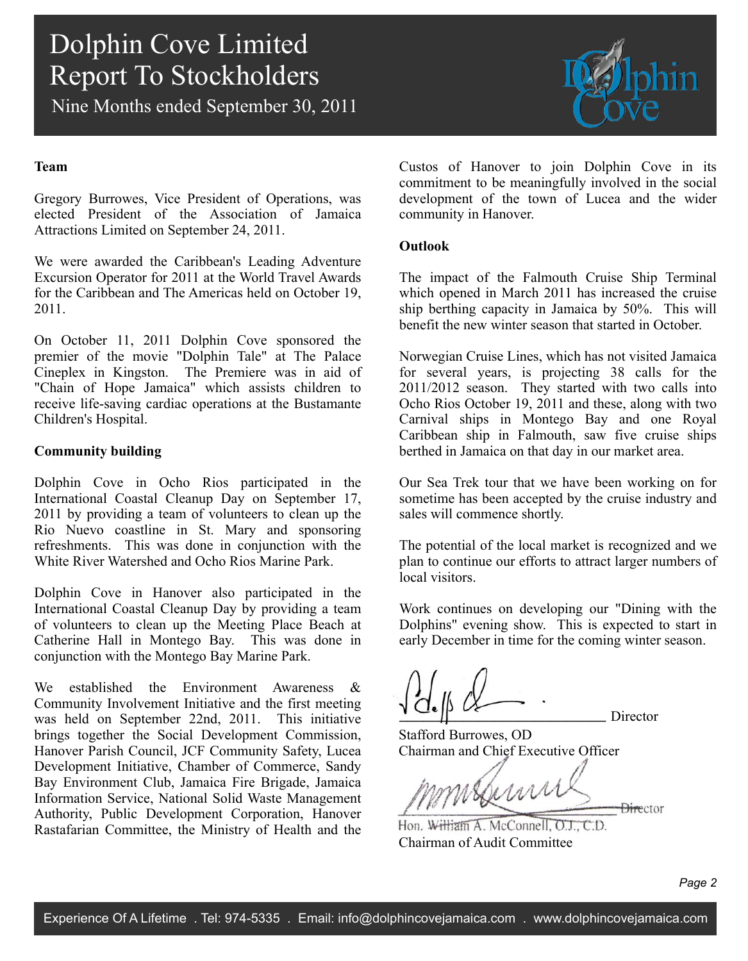Nine Months ended September 30, 2011

### **Team**

Gregory Burrowes, Vice President of Operations, was elected President of the Association of Jamaica Attractions Limited on September 24, 2011.

We were awarded the Caribbean's Leading Adventure Excursion Operator for 2011 at the World Travel Awards for the Caribbean and The Americas held on October 19, 2011.

On October 11, 2011 Dolphin Cove sponsored the premier of the movie "Dolphin Tale" at The Palace Cineplex in Kingston. The Premiere was in aid of "Chain of Hope Jamaica" which assists children to receive life-saving cardiac operations at the Bustamante Children's Hospital.

### **Community building**

Dolphin Cove in Ocho Rios participated in the International Coastal Cleanup Day on September 17, 2011 by providing a team of volunteers to clean up the Rio Nuevo coastline in St. Mary and sponsoring refreshments. This was done in conjunction with the White River Watershed and Ocho Rios Marine Park.

Dolphin Cove in Hanover also participated in the International Coastal Cleanup Day by providing a team of volunteers to clean up the Meeting Place Beach at Catherine Hall in Montego Bay. This was done in conjunction with the Montego Bay Marine Park.

We established the Environment Awareness & Community Involvement Initiative and the first meeting was held on September 22nd, 2011. This initiative brings together the Social Development Commission, Hanover Parish Council, JCF Community Safety, Lucea Development Initiative, Chamber of Commerce, Sandy Bay Environment Club, Jamaica Fire Brigade, Jamaica Information Service, National Solid Waste Management Authority, Public Development Corporation, Hanover Rastafarian Committee, the Ministry of Health and the Custos of Hanover to join Dolphin Cove in its commitment to be meaningfully involved in the social development of the town of Lucea and the wider community in Hanover.

### **Outlook**

The impact of the Falmouth Cruise Ship Terminal which opened in March 2011 has increased the cruise ship berthing capacity in Jamaica by 50%. This will benefit the new winter season that started in October.

Norwegian Cruise Lines, which has not visited Jamaica for several years, is projecting 38 calls for the 2011/2012 season. They started with two calls into Ocho Rios October 19, 2011 and these, along with two Carnival ships in Montego Bay and one Royal Caribbean ship in Falmouth, saw five cruise ships berthed in Jamaica on that day in our market area.

Our Sea Trek tour that we have been working on for sometime has been accepted by the cruise industry and sales will commence shortly.

The potential of the local market is recognized and we plan to continue our efforts to attract larger numbers of local visitors.

Work continues on developing our "Dining with the Dolphins" evening show. This is expected to start in early December in time for the coming winter season.

Director

Stafford Burrowes, OD Chairman and Chief Executive Officer

mussinn **Director** 

Hon. William A. McConnell, O.J., C.D. Chairman of Audit Committee

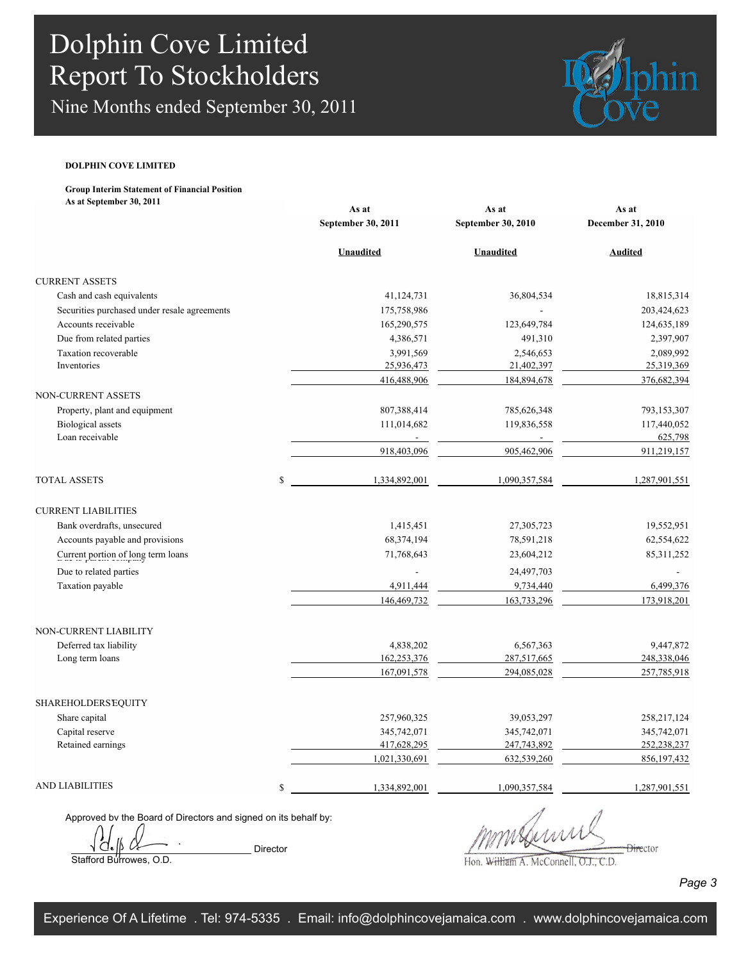Nine Months ended September 30, 2011



#### **DOLPHIN COVE LIMITED**

**Group Interim Statement of Financial Position As at September 30, 2011**

|                                              |                                | As at              | As at                     | As at             |
|----------------------------------------------|--------------------------------|--------------------|---------------------------|-------------------|
|                                              |                                | September 30, 2011 | <b>September 30, 2010</b> | December 31, 2010 |
|                                              |                                | <b>Unaudited</b>   | <b>Unaudited</b>          | <b>Audited</b>    |
| <b>CURRENT ASSETS</b>                        |                                |                    |                           |                   |
| Cash and cash equivalents                    |                                | 41,124,731         | 36,804,534                | 18,815,314        |
| Securities purchased under resale agreements |                                | 175,758,986        | $\overline{a}$            | 203,424,623       |
| Accounts receivable                          |                                | 165,290,575        | 123,649,784               | 124,635,189       |
| Due from related parties                     |                                | 4,386,571          | 491,310                   | 2,397,907         |
| Taxation recoverable                         |                                | 3,991,569          | 2,546,653                 | 2,089,992         |
| Inventories                                  |                                | 25,936,473         | 21,402,397                | 25,319,369        |
|                                              |                                | 416,488,906        | 184,894,678               | 376,682,394       |
| <b>NON-CURRENT ASSETS</b>                    |                                |                    |                           |                   |
| Property, plant and equipment                |                                | 807,388,414        | 785,626,348               | 793,153,307       |
| <b>Biological</b> assets                     |                                | 111,014,682        | 119,836,558               | 117,440,052       |
| Loan receivable                              |                                |                    |                           | 625,798           |
|                                              |                                | 918,403,096        | 905,462,906               | 911,219,157       |
| <b>TOTAL ASSETS</b>                          | \$                             | 1,334,892,001      | 1,090,357,584             | 1,287,901,551     |
| <b>CURRENT LIABILITIES</b>                   |                                |                    |                           |                   |
| Bank overdrafts, unsecured                   |                                | 1,415,451          | 27,305,723                | 19,552,951        |
| Accounts payable and provisions              |                                | 68,374,194         | 78,591,218                | 62,554,622        |
| Current portion of long term loans           |                                | 71,768,643         | 23,604,212                | 85, 311, 252      |
| Due to related parties                       |                                |                    | 24,497,703                |                   |
| Taxation payable                             |                                | 4.911.444          | 9,734,440                 | 6.499.376         |
|                                              |                                | 146,469,732        | 163,733,296               | 173,918,201       |
| NON-CURRENT LIABILITY                        |                                |                    |                           |                   |
| Deferred tax liability                       |                                | 4,838,202          | 6,567,363                 | 9,447,872         |
| Long term loans                              |                                | 162,253,376        | 287,517,665               | 248,338,046       |
|                                              |                                | 167,091,578        | 294,085,028               | 257,785,918       |
| <b>SHAREHOLDERS EQUITY</b>                   |                                |                    |                           |                   |
| Share capital                                |                                | 257,960,325        | 39,053,297                | 258, 217, 124     |
| Capital reserve                              |                                | 345,742,071        | 345,742,071               | 345,742,071       |
| Retained earnings                            |                                | 417,628,295        | 247,743,892               | 252, 238, 237     |
|                                              |                                | 1,021,330,691      | 632,539,260               | 856,197,432       |
| <b>AND LIABILITIES</b>                       | \$                             | 1,334,892,001      | 1,090,357,584             | 1,287,901,551     |
|                                              | وبالكالمستعانة والمتلاز ومربور |                    |                           | Ą                 |

Approved by the Board of Directors and signed on its behalf by:

 $\frac{1}{\sqrt{d}}$   $\frac{1}{\sqrt{d}}$   $\frac{1}{\sqrt{d}}$   $\frac{1}{\sqrt{d}}$ Stafford Burrowes, O.D.

mmscannel

Hon. William A. McConnell, O.J., C.D.

*Page 3*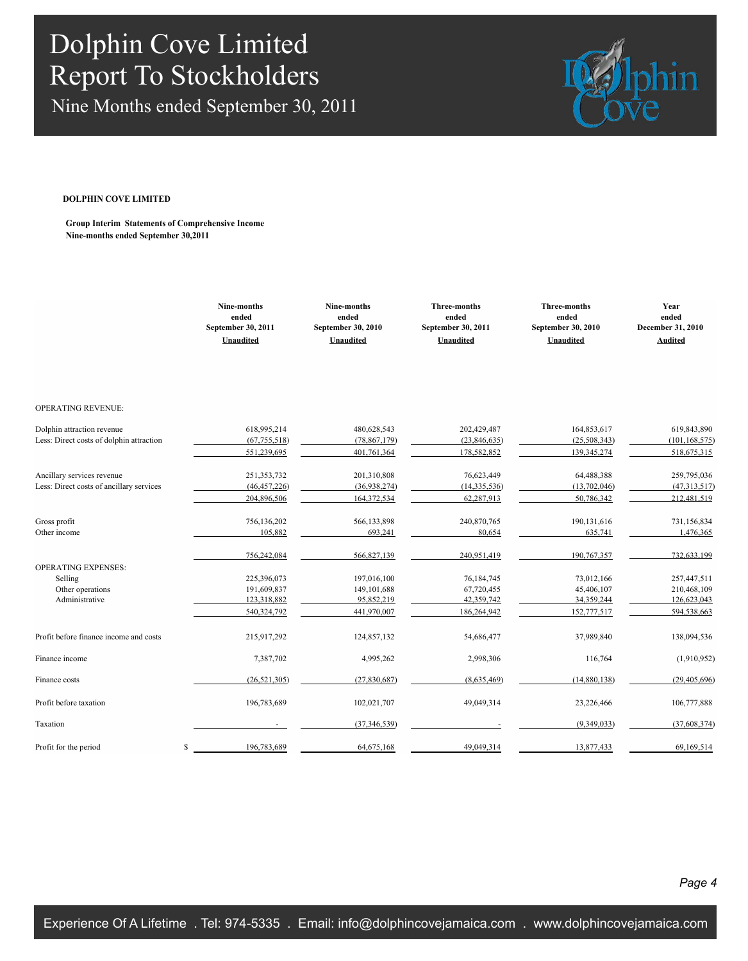Nine Months ended September 30, 2011



#### **DOLPHIN COVE LIMITED**

**Group Interim Statements of Comprehensive Income Nine-months ended September 30,2011**

|                                          |              | Nine-months<br>ended<br>September 30, 2011<br><b>Unaudited</b> | Nine-months<br>ended<br>September 30, 2010<br>Unaudited | <b>Three-months</b><br>ended<br>September 30, 2011<br>Unaudited | <b>Three-months</b><br>ended<br>September 30, 2010<br><b>Unaudited</b> | Year<br>ended<br>December 31, 2010<br><b>Audited</b> |
|------------------------------------------|--------------|----------------------------------------------------------------|---------------------------------------------------------|-----------------------------------------------------------------|------------------------------------------------------------------------|------------------------------------------------------|
| <b>OPERATING REVENUE:</b>                |              |                                                                |                                                         |                                                                 |                                                                        |                                                      |
|                                          |              |                                                                |                                                         |                                                                 |                                                                        |                                                      |
| Dolphin attraction revenue               |              | 618,995,214                                                    | 480,628,543                                             | 202,429,487                                                     | 164,853,617                                                            | 619,843,890                                          |
| Less: Direct costs of dolphin attraction |              | (67, 755, 518)<br>551,239,695                                  | (78, 867, 179)<br>401,761,364                           | (23,846,635)<br>178,582,852                                     | (25,508,343)<br>139,345,274                                            | (101, 168, 575)<br>518,675,315                       |
|                                          |              |                                                                |                                                         |                                                                 |                                                                        |                                                      |
| Ancillary services revenue               |              | 251,353,732                                                    | 201,310,808                                             | 76,623,449                                                      | 64,488,388                                                             | 259,795,036                                          |
| Less: Direct costs of ancillary services |              | (46, 457, 226)                                                 | (36,938,274)                                            | (14, 335, 536)                                                  | (13,702,046)                                                           | (47, 313, 517)                                       |
|                                          |              | 204,896,506                                                    | 164,372,534                                             | 62,287,913                                                      | 50,786,342                                                             | 212,481,519                                          |
| Gross profit                             |              | 756,136,202                                                    | 566,133,898                                             | 240,870,765                                                     | 190,131,616                                                            | 731,156,834                                          |
| Other income                             |              | 105,882                                                        | 693,241                                                 | 80,654                                                          | 635,741                                                                | 1,476,365                                            |
|                                          |              | 756,242,084                                                    | 566,827,139                                             | 240,951,419                                                     | 190,767,357                                                            | 732.633.199                                          |
| <b>OPERATING EXPENSES:</b>               |              |                                                                |                                                         |                                                                 |                                                                        |                                                      |
| Selling                                  |              | 225,396,073                                                    | 197,016,100                                             | 76,184,745                                                      | 73,012,166                                                             | 257,447,511                                          |
| Other operations                         |              | 191,609,837                                                    | 149, 101, 688                                           | 67,720,455                                                      | 45,406,107                                                             | 210,468,109                                          |
| Administrative                           |              | 123,318,882                                                    | 95,852,219                                              | 42,359,742                                                      | 34,359,244                                                             | 126,623,043                                          |
|                                          |              | 540,324,792                                                    | 441,970,007                                             | 186,264,942                                                     | 152,777,517                                                            | 594.538.663                                          |
| Profit before finance income and costs   |              | 215,917,292                                                    | 124,857,132                                             | 54,686,477                                                      | 37,989,840                                                             | 138,094,536                                          |
| Finance income                           |              | 7,387,702                                                      | 4,995,262                                               | 2,998,306                                                       | 116,764                                                                | (1,910,952)                                          |
| Finance costs                            |              | (26, 521, 305)                                                 | (27, 830, 687)                                          | (8,635,469)                                                     | (14,880,138)                                                           | (29, 405, 696)                                       |
| Profit before taxation                   |              | 196,783,689                                                    | 102,021,707                                             | 49,049,314                                                      | 23,226,466                                                             | 106,777,888                                          |
| Taxation                                 |              |                                                                | (37, 346, 539)                                          |                                                                 | (9,349,033)                                                            | (37,608,374)                                         |
| Profit for the period                    | $\mathbb{S}$ | 196,783,689                                                    | 64,675,168                                              | 49,049,314                                                      | 13,877,433                                                             | 69,169,514                                           |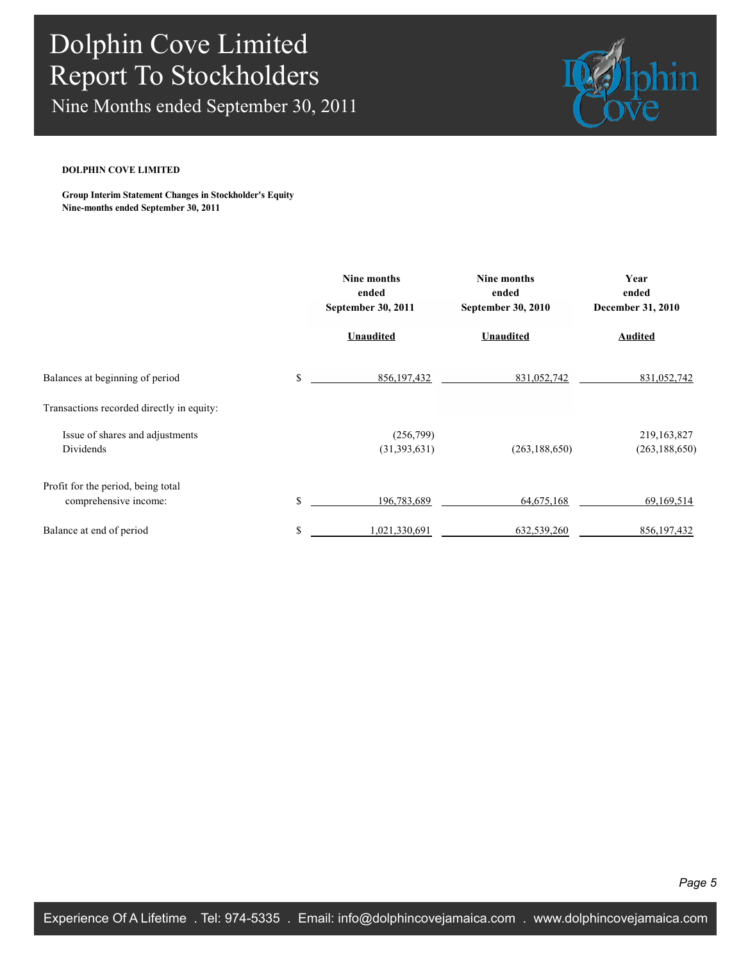Nine Months ended September 30, 2011



### **DOLPHIN COVE LIMITED**

**Group Interim Statement Changes in Stockholder's Equity Nine-months ended September 30, 2011**

|                                                             | Nine months<br>ended<br>September 30, 2011 | Nine months<br>ended<br><b>September 30, 2010</b> | Year<br>ended<br><b>December 31, 2010</b> |
|-------------------------------------------------------------|--------------------------------------------|---------------------------------------------------|-------------------------------------------|
|                                                             | <b>Unaudited</b>                           | <b>Unaudited</b>                                  | <b>Audited</b>                            |
| Balances at beginning of period                             | \$<br>856, 197, 432                        | 831,052,742                                       | 831,052,742                               |
| Transactions recorded directly in equity:                   |                                            |                                                   |                                           |
| Issue of shares and adjustments<br>Dividends                | (256,799)<br>(31,393,631)                  | (263, 188, 650)                                   | 219,163,827<br>(263, 188, 650)            |
| Profit for the period, being total<br>comprehensive income: | \$<br>196,783,689                          | 64, 675, 168                                      | 69,169,514                                |
| Balance at end of period                                    | \$<br>1,021,330,691                        | 632,539,260                                       | 856,197,432                               |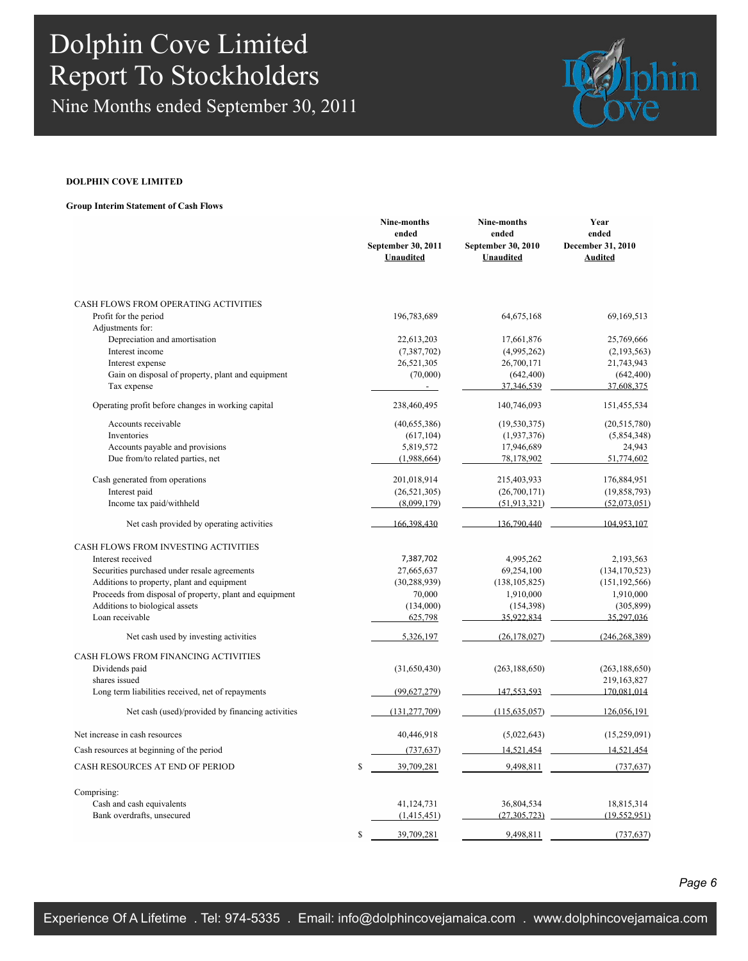Nine Months ended September 30, 2011



#### **DOLPHIN COVE LIMITED**

#### **Group Interim Statement of Cash Flows**

|                                                         | Nine-months<br>ended<br>September 30, 2011<br><b>Unaudited</b> | Nine-months<br>ended<br>September 30, 2010<br><b>Unaudited</b> | Year<br>ended<br>December 31, 2010<br><b>Audited</b> |
|---------------------------------------------------------|----------------------------------------------------------------|----------------------------------------------------------------|------------------------------------------------------|
| CASH FLOWS FROM OPERATING ACTIVITIES                    |                                                                |                                                                |                                                      |
| Profit for the period                                   | 196,783,689                                                    | 64, 675, 168                                                   | 69,169,513                                           |
| Adjustments for:<br>Depreciation and amortisation       | 22,613,203                                                     | 17,661,876                                                     | 25,769,666                                           |
| Interest income                                         | (7,387,702)                                                    | (4,995,262)                                                    | (2, 193, 563)                                        |
| Interest expense                                        | 26,521,305                                                     | 26,700,171                                                     | 21,743,943                                           |
| Gain on disposal of property, plant and equipment       | (70,000)                                                       | (642, 400)                                                     | (642, 400)                                           |
| Tax expense                                             |                                                                | 37, 346, 539                                                   | 37,608,375                                           |
| Operating profit before changes in working capital      | 238,460,495                                                    | 140,746,093                                                    | 151,455,534                                          |
| Accounts receivable                                     | (40, 655, 386)                                                 | (19, 530, 375)                                                 | (20,515,780)                                         |
| Inventories                                             | (617, 104)                                                     | (1,937,376)                                                    | (5,854,348)                                          |
| Accounts payable and provisions                         | 5,819,572                                                      | 17,946,689                                                     | 24,943                                               |
| Due from/to related parties, net                        | (1,988,664)                                                    | 78,178,902                                                     | 51,774,602                                           |
| Cash generated from operations                          | 201,018,914                                                    | 215,403,933                                                    | 176,884,951                                          |
| Interest paid                                           | (26, 521, 305)                                                 | (26,700,171)                                                   | (19, 858, 793)                                       |
| Income tax paid/withheld                                | (8,099,179)                                                    | (51, 913, 321)                                                 | (52,073,051)                                         |
| Net cash provided by operating activities               | 166.398.430                                                    | 136.790.440                                                    | 104.953.107                                          |
| CASH FLOWS FROM INVESTING ACTIVITIES                    |                                                                |                                                                |                                                      |
| Interest received                                       | 7,387,702                                                      | 4,995,262                                                      | 2,193,563                                            |
| Securities purchased under resale agreements            | 27,665,637                                                     | 69,254,100                                                     | (134, 170, 523)                                      |
| Additions to property, plant and equipment              | (30, 288, 939)                                                 | (138, 105, 825)                                                | (151, 192, 566)                                      |
| Proceeds from disposal of property, plant and equipment | 70,000                                                         | 1,910,000                                                      | 1,910,000                                            |
| Additions to biological assets                          | (134,000)                                                      | (154, 398)                                                     | (305, 899)                                           |
| Loan receivable                                         | 625,798                                                        | 35.922.834                                                     | 35.297.036                                           |
| Net cash used by investing activities                   | 5,326,197                                                      | (26, 178, 027)                                                 | (246, 268, 389)                                      |
| CASH FLOWS FROM FINANCING ACTIVITIES                    |                                                                |                                                                |                                                      |
| Dividends paid                                          | (31,650,430)                                                   | (263, 188, 650)                                                | (263, 188, 650)                                      |
| shares issued                                           |                                                                |                                                                | 219,163,827                                          |
| Long term liabilities received, net of repayments       | (99,627,279)                                                   | 147.553.593                                                    | 170.081.014                                          |
| Net cash (used)/provided by financing activities        | (131, 277, 709)                                                | (115, 635, 057)                                                | 126,056,191                                          |
| Net increase in cash resources                          | 40,446,918                                                     | (5,022,643)                                                    | (15,259,091)                                         |
| Cash resources at beginning of the period               | (737, 637)                                                     | 14,521,454                                                     | 14.521.454                                           |
| CASH RESOURCES AT END OF PERIOD                         | \$<br>39,709,281                                               | 9,498,811                                                      | (737, 637)                                           |
| Comprising:                                             |                                                                |                                                                |                                                      |
| Cash and cash equivalents                               | 41,124,731                                                     | 36,804,534                                                     | 18,815,314                                           |
| Bank overdrafts, unsecured                              | (1,415,451)                                                    | (27, 305, 723)                                                 | (19,552,951)                                         |
|                                                         | \$<br>39,709,281                                               | 9,498,811                                                      | (737, 637)                                           |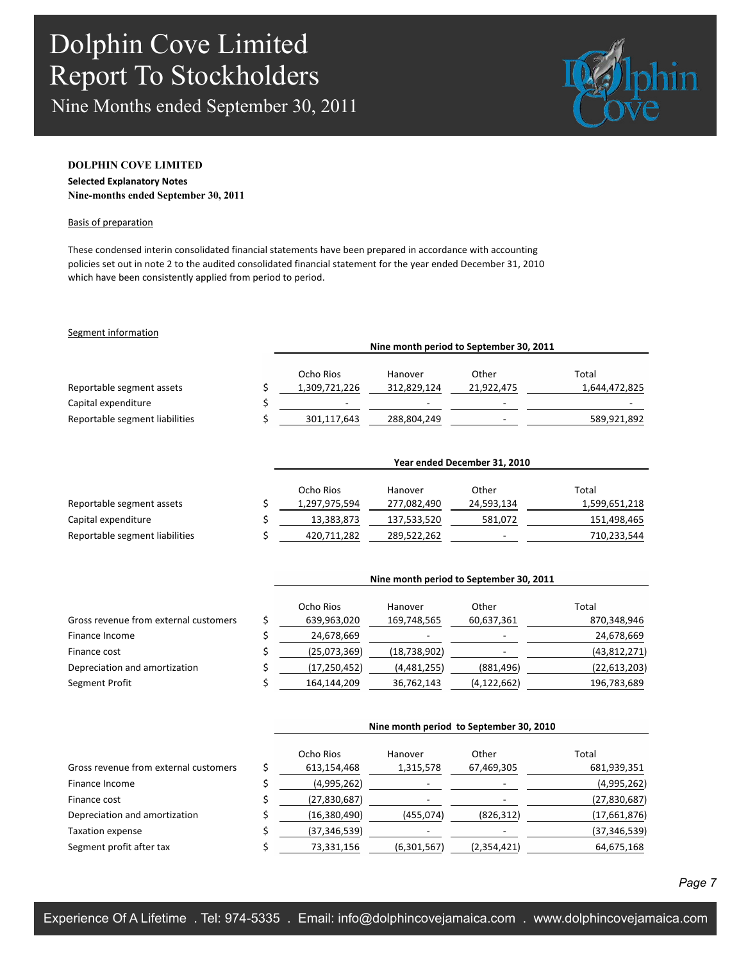Nine Months ended September 30, 2011



#### **DOLPHIN COVE LIMITED**

### **Selected Explanatory Notes**

**Nine-months ended September 30, 2011**

#### Basis of preparation

These condensed interin consolidated financial statements have been prepared in accordance with accounting policies set out in note 2 to the audited consolidated financial statement for the year ended December 31, 2010 which have been consistently applied from period to period.

#### Segment information

|                                | Nine month period to September 30, 2011 |               |                          |            |               |  |  |
|--------------------------------|-----------------------------------------|---------------|--------------------------|------------|---------------|--|--|
|                                |                                         | Ocho Rios     | Hanover                  | Other      | Total         |  |  |
| Reportable segment assets      |                                         | 1,309,721,226 | 312,829,124              | 21,922,475 | 1,644,472,825 |  |  |
| Capital expenditure            |                                         |               | $\overline{\phantom{a}}$ |            |               |  |  |
| Reportable segment liabilities |                                         | 301,117,643   | 288,804,249              | -          | 589,921,892   |  |  |

|                                | Year ended December 31, 2010 |             |            |               |  |  |
|--------------------------------|------------------------------|-------------|------------|---------------|--|--|
|                                | Ocho Rios                    | Hanover     | Other      | Total         |  |  |
| Reportable segment assets      | 1,297,975,594                | 277,082,490 | 24,593,134 | 1,599,651,218 |  |  |
| Capital expenditure            | 13,383,873                   | 137,533,520 | 581,072    | 151,498,465   |  |  |
| Reportable segment liabilities | 420,711,282                  | 289,522,262 | -          | 710,233,544   |  |  |

|                                       | Nine month period to September 30, 2011 |              |                          |                |  |  |
|---------------------------------------|-----------------------------------------|--------------|--------------------------|----------------|--|--|
|                                       | Ocho Rios                               | Hanover      | Other                    | Total          |  |  |
| Gross revenue from external customers | 639,963,020                             | 169,748,565  | 60,637,361               | 870,348,946    |  |  |
| Finance Income                        | 24,678,669                              |              | $\overline{\phantom{a}}$ | 24,678,669     |  |  |
| Finance cost                          | (25,073,369)                            | (18,738,902) |                          | (43, 812, 271) |  |  |
| Depreciation and amortization         | (17, 250, 452)                          | (4,481,255)  | (881, 496)               | (22, 613, 203) |  |  |
| Segment Profit                        | 164,144,209                             | 36,762,143   | (4, 122, 662)            | 196,783,689    |  |  |

|                                       | Nine month period to September 30, 2010 |             |                          |                |  |  |
|---------------------------------------|-----------------------------------------|-------------|--------------------------|----------------|--|--|
|                                       | Ocho Rios                               | Hanover     | Other                    | Total          |  |  |
| Gross revenue from external customers | 613,154,468                             | 1,315,578   | 67,469,305               | 681,939,351    |  |  |
| Finance Income                        | (4,995,262)                             |             |                          | (4,995,262)    |  |  |
| Finance cost                          | (27,830,687)                            |             |                          | (27, 830, 687) |  |  |
| Depreciation and amortization         | (16,380,490)                            | (455, 074)  | (826, 312)               | (17,661,876)   |  |  |
| <b>Taxation expense</b>               | (37, 346, 539)                          |             | $\overline{\phantom{a}}$ | (37, 346, 539) |  |  |
| Segment profit after tax              | 73,331,156                              | (6,301,567) | (2,354,421)              | 64,675,168     |  |  |